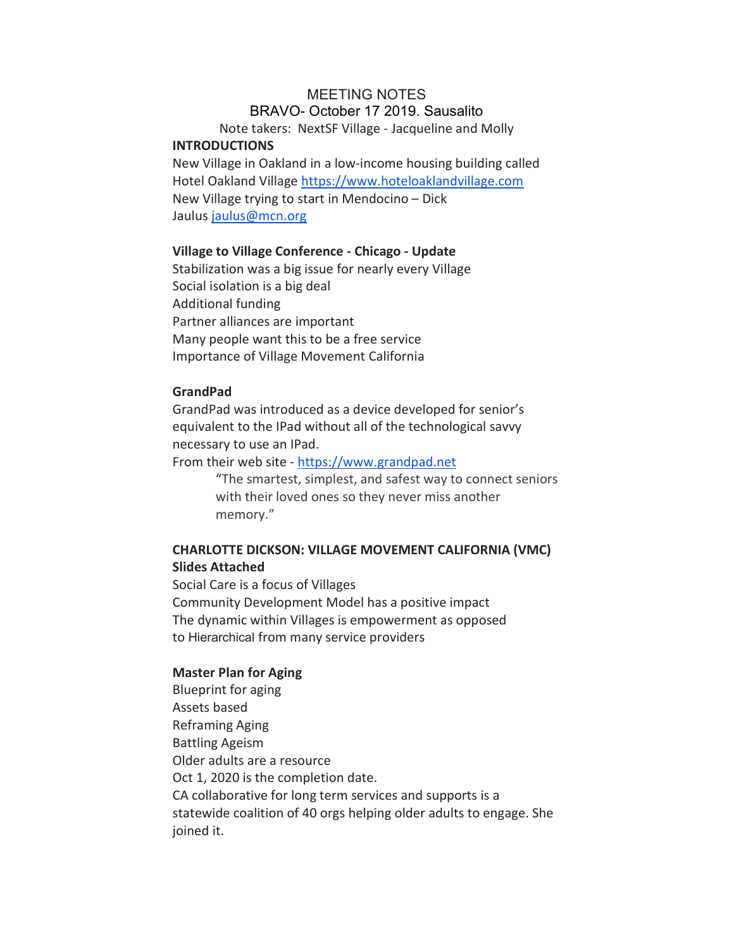## MEETING NOTES BRAVO- October 17 2019. Sausalito

Note takers: NextSF Village - Jacqueline and Molly INTRODUCTIONS

New Village in Oakland in a low-income housing building called Hotel Oakland Village https://www.hoteloaklandvillage.com New Village trying to start in Mendocino – Dick Jaulus jaulus@mcn.org

## Village to Village Conference - Chicago - Update

Stabilization was a big issue for nearly every Village Social isolation is a big deal Additional funding Partner alliances are important Many people want this to be a free service Importance of Village Movement California

# GrandPad

GrandPad was introduced as a device developed for senior's equivalent to the IPad without all of the technological savvy necessary to use an IPad.

From their web site - https://www.grandpad.net

"The smartest, simplest, and safest way to connect seniors with their loved ones so they never miss another memory."

# CHARLOTTE DICKSON: VILLAGE MOVEMENT CALIFORNIA (VMC) Slides Attached

Social Care is a focus of Villages Community Development Model has a positive impact The dynamic within Villages is empowerment as opposed to Hierarchical from many service providers

## Master Plan for Aging

Blueprint for aging Assets based Reframing Aging Battling Ageism Older adults are a resource Oct 1, 2020 is the completion date. CA collaborative for long term services and supports is a statewide coalition of 40 orgs helping older adults to engage. She joined it.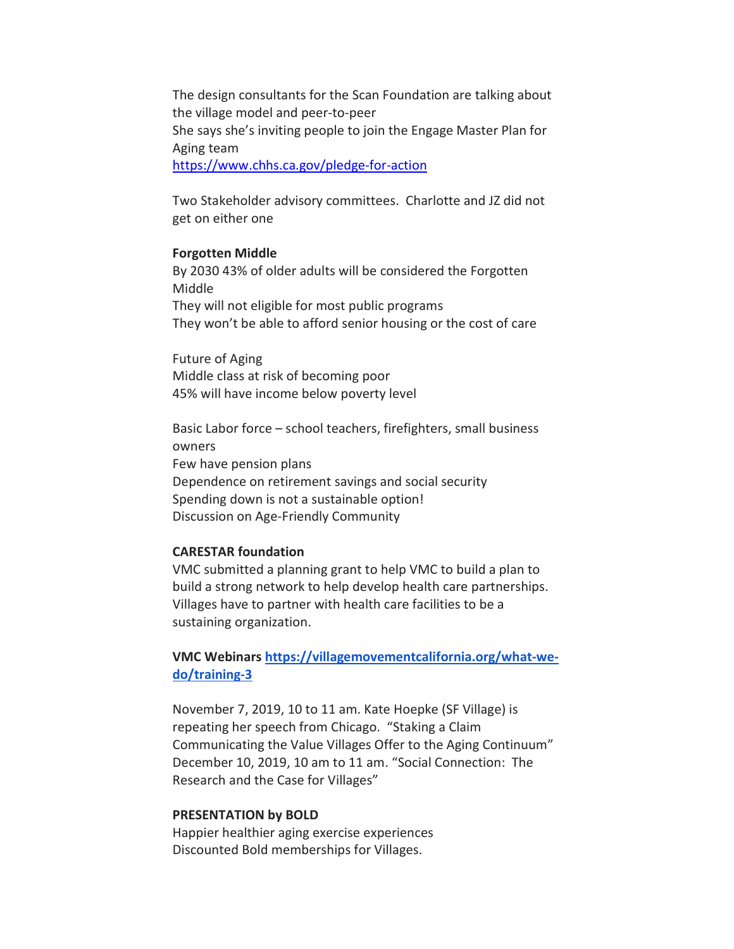The design consultants for the Scan Foundation are talking about the village model and peer-to-peer She says she's inviting people to join the Engage Master Plan for Aging team https://www.chhs.ca.gov/pledge-for-action

Two Stakeholder advisory committees. Charlotte and JZ did not get on either one

### Forgotten Middle

By 2030 43% of older adults will be considered the Forgotten Middle They will not eligible for most public programs They won't be able to afford senior housing or the cost of care

Future of Aging Middle class at risk of becoming poor 45% will have income below poverty level

Basic Labor force – school teachers, firefighters, small business owners Few have pension plans Dependence on retirement savings and social security Spending down is not a sustainable option! Discussion on Age-Friendly Community

### CARESTAR foundation

VMC submitted a planning grant to help VMC to build a plan to build a strong network to help develop health care partnerships. Villages have to partner with health care facilities to be a sustaining organization.

VMC Webinars https://villagemovementcalifornia.org/what-wedo/training-3

November 7, 2019, 10 to 11 am. Kate Hoepke (SF Village) is repeating her speech from Chicago. "Staking a Claim Communicating the Value Villages Offer to the Aging Continuum" December 10, 2019, 10 am to 11 am. "Social Connection: The Research and the Case for Villages"

#### PRESENTATION by BOLD

Happier healthier aging exercise experiences Discounted Bold memberships for Villages.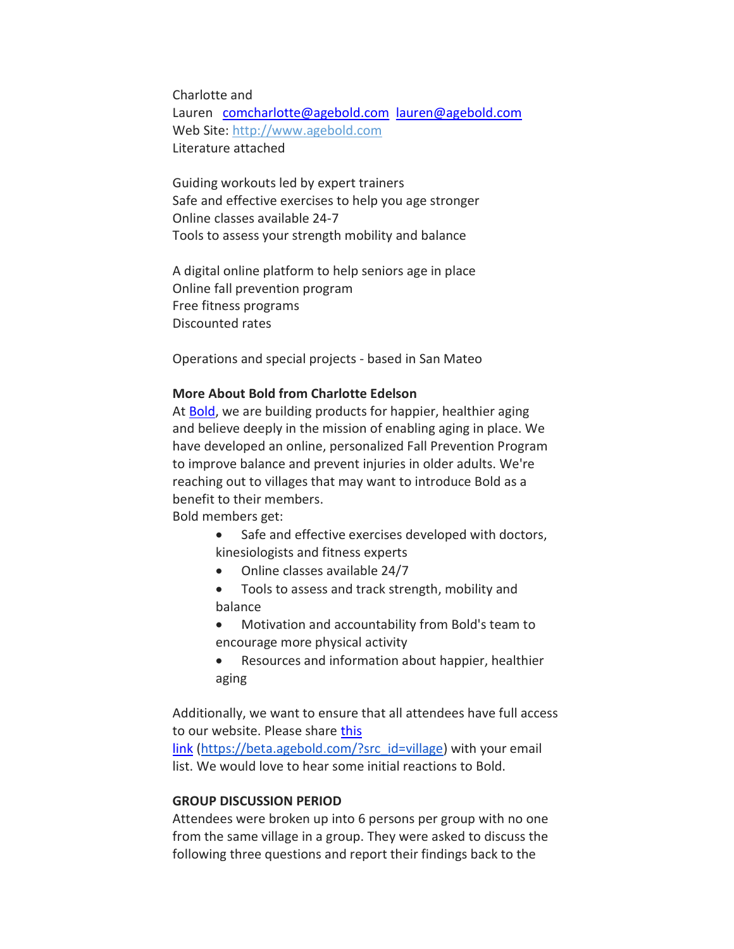Charlotte and Lauren comcharlotte@agebold.com lauren@agebold.com Web Site: http://www.agebold.com Literature attached

Guiding workouts led by expert trainers Safe and effective exercises to help you age stronger Online classes available 24-7 Tools to assess your strength mobility and balance

A digital online platform to help seniors age in place Online fall prevention program Free fitness programs Discounted rates

Operations and special projects - based in San Mateo

## More About Bold from Charlotte Edelson

At Bold, we are building products for happier, healthier aging and believe deeply in the mission of enabling aging in place. We have developed an online, personalized Fall Prevention Program to improve balance and prevent injuries in older adults. We're reaching out to villages that may want to introduce Bold as a benefit to their members.

Bold members get:

- Safe and effective exercises developed with doctors, kinesiologists and fitness experts
- Online classes available 24/7
- Tools to assess and track strength, mobility and balance
- Motivation and accountability from Bold's team to encourage more physical activity
- Resources and information about happier, healthier aging

Additionally, we want to ensure that all attendees have full access to our website. Please share this

link (https://beta.agebold.com/?src\_id=village) with your email list. We would love to hear some initial reactions to Bold.

## GROUP DISCUSSION PERIOD

Attendees were broken up into 6 persons per group with no one from the same village in a group. They were asked to discuss the following three questions and report their findings back to the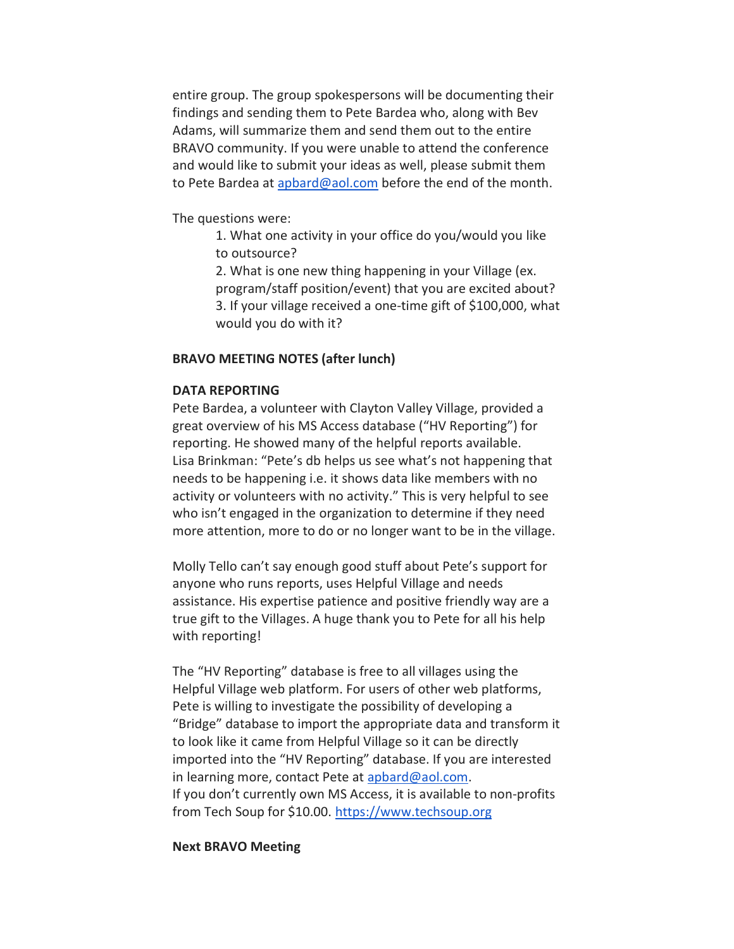entire group. The group spokespersons will be documenting their findings and sending them to Pete Bardea who, along with Bev Adams, will summarize them and send them out to the entire BRAVO community. If you were unable to attend the conference and would like to submit your ideas as well, please submit them to Pete Bardea at apbard@aol.com before the end of the month.

The questions were:

1. What one activity in your office do you/would you like to outsource?

2. What is one new thing happening in your Village (ex. program/staff position/event) that you are excited about? 3. If your village received a one-time gift of \$100,000, what would you do with it?

### BRAVO MEETING NOTES (after lunch)

## DATA REPORTING

Pete Bardea, a volunteer with Clayton Valley Village, provided a great overview of his MS Access database ("HV Reporting") for reporting. He showed many of the helpful reports available. Lisa Brinkman: "Pete's db helps us see what's not happening that needs to be happening i.e. it shows data like members with no activity or volunteers with no activity." This is very helpful to see who isn't engaged in the organization to determine if they need more attention, more to do or no longer want to be in the village.

Molly Tello can't say enough good stuff about Pete's support for anyone who runs reports, uses Helpful Village and needs assistance. His expertise patience and positive friendly way are a true gift to the Villages. A huge thank you to Pete for all his help with reporting!

The "HV Reporting" database is free to all villages using the Helpful Village web platform. For users of other web platforms, Pete is willing to investigate the possibility of developing a "Bridge" database to import the appropriate data and transform it to look like it came from Helpful Village so it can be directly imported into the "HV Reporting" database. If you are interested in learning more, contact Pete at apbard@aol.com. If you don't currently own MS Access, it is available to non-profits from Tech Soup for \$10.00. https://www.techsoup.org

#### Next BRAVO Meeting